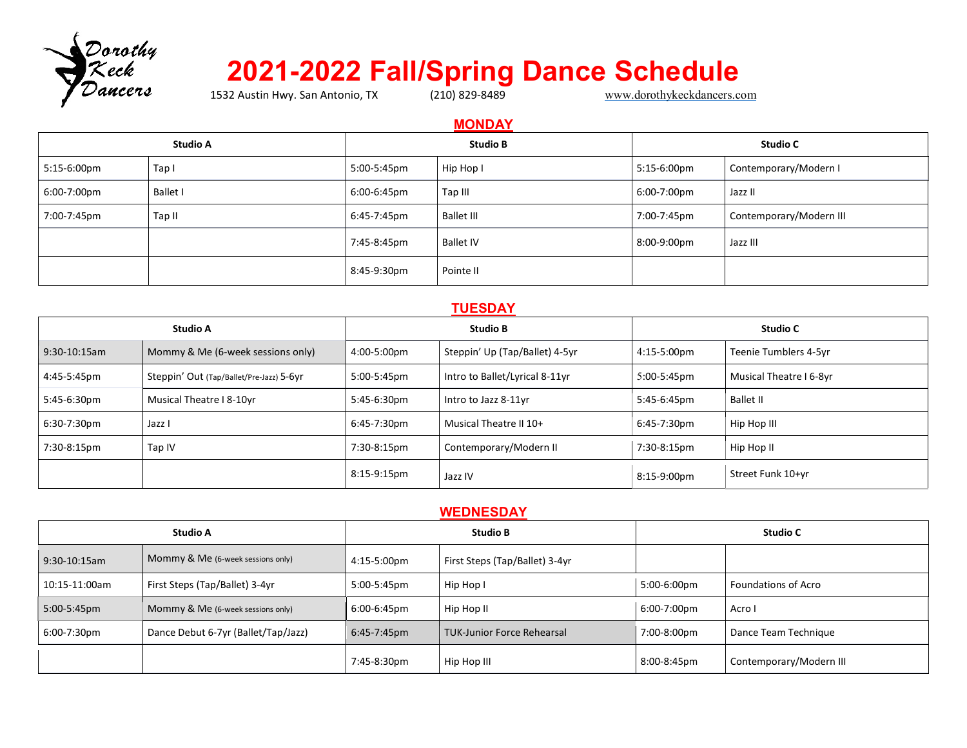

# **2021-2022 Fall/Spring Dance Schedule**

1532 Austin Hwy. San Antonio, TX

## **MONDAY**

| <b>Studio A</b> |             |                 | <b>Studio B</b> | <b>Studio C</b> |             |                         |
|-----------------|-------------|-----------------|-----------------|-----------------|-------------|-------------------------|
|                 | 5:15-6:00pm | Tapi            | 5:00-5:45pm     | Hip Hop I       | 5:15-6:00pm | Contemporary/Modern I   |
|                 | 6:00-7:00pm | <b>Ballet I</b> | 6:00-6:45pm     | Tap III         | 6:00-7:00pm | Jazz II                 |
|                 | 7:00-7:45pm | Tap II          | 6:45-7:45pm     | Ballet III      | 7:00-7:45pm | Contemporary/Modern III |
|                 |             |                 | 7:45-8:45pm     | Ballet IV       | 8:00-9:00pm | Jazz III                |
|                 |             |                 | 8:45-9:30pm     | Pointe II       |             |                         |

#### **TUESDAY**

| <b>Studio A</b> |                                          |             | <b>Studio B</b>                |                       | <b>Studio C</b>         |  |
|-----------------|------------------------------------------|-------------|--------------------------------|-----------------------|-------------------------|--|
| 9:30-10:15am    | Mommy & Me (6-week sessions only)        | 4:00-5:00pm | Steppin' Up (Tap/Ballet) 4-5yr | $4:15-5:00 \text{pm}$ | Teenie Tumblers 4-5yr   |  |
| 4:45-5:45pm     | Steppin' Out (Tap/Ballet/Pre-Jazz) 5-6yr | 5:00-5:45pm | Intro to Ballet/Lyrical 8-11yr | 5:00-5:45pm           | Musical Theatre I 6-8yr |  |
| 5:45-6:30pm     | Musical Theatre I 8-10yr                 | 5:45-6:30pm | Intro to Jazz 8-11yr           | 5:45-6:45pm           | <b>Ballet II</b>        |  |
| 6:30-7:30pm     | Jazz I                                   | 6:45-7:30pm | Musical Theatre II 10+         | 6:45-7:30pm           | Hip Hop III             |  |
| 7:30-8:15pm     | Tap IV                                   | 7:30-8:15pm | Contemporary/Modern II         | 7:30-8:15pm           | Hip Hop II              |  |
|                 |                                          | 8:15-9:15pm | Jazz IV                        | 8:15-9:00pm           | Street Funk 10+yr       |  |

#### **WEDNESDAY**

| <b>Studio A</b> |                                     |                | <b>Studio B</b>                   |             | <b>Studio C</b>            |  |
|-----------------|-------------------------------------|----------------|-----------------------------------|-------------|----------------------------|--|
| $9:30-10:15am$  | Mommy & Me (6-week sessions only)   | 4:15-5:00pm    | First Steps (Tap/Ballet) 3-4yr    |             |                            |  |
| 10:15-11:00am   | First Steps (Tap/Ballet) 3-4yr      | 5:00-5:45pm    | Hip Hop I                         | 5:00-6:00pm | <b>Foundations of Acro</b> |  |
| 5:00-5:45pm     | Mommy & Me (6-week sessions only)   | 6:00-6:45pm    | Hip Hop II                        | 6:00-7:00pm | Acro I                     |  |
| 6:00-7:30pm     | Dance Debut 6-7yr (Ballet/Tap/Jazz) | $6:45-7:45$ pm | <b>TUK-Junior Force Rehearsal</b> | 7:00-8:00pm | Dance Team Technique       |  |
|                 |                                     | 7:45-8:30pm    | Hip Hop III                       | 8:00-8:45pm | Contemporary/Modern III    |  |